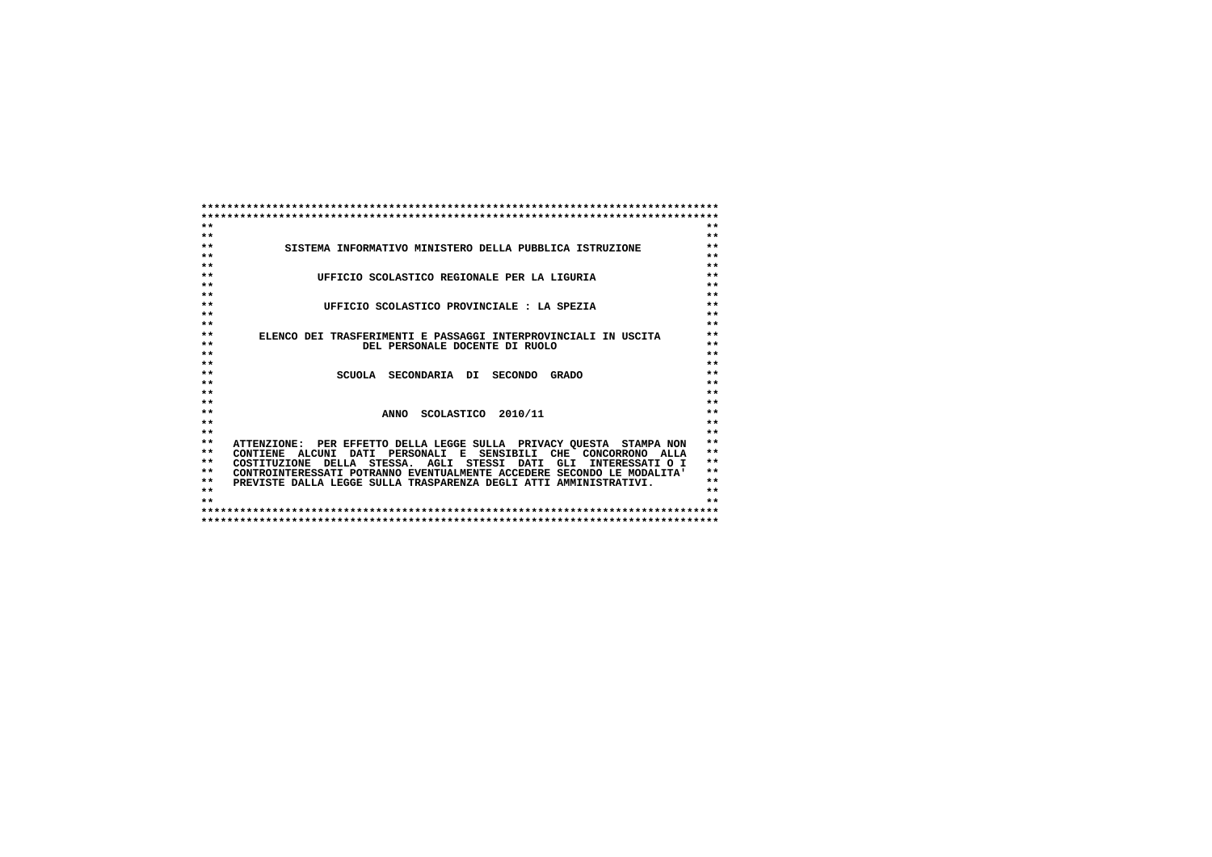| $**$<br>$**$                                                                               |  |
|--------------------------------------------------------------------------------------------|--|
| $**$<br>$**$                                                                               |  |
| $***$<br>$**$<br>SISTEMA INFORMATIVO MINISTERO DELLA PUBBLICA ISTRUZIONE                   |  |
| $**$<br>$\star\star$                                                                       |  |
| $***$<br>$**$                                                                              |  |
| $***$<br>$**$<br>UFFICIO SCOLASTICO REGIONALE PER LA LIGURIA                               |  |
| $**$<br>$**$                                                                               |  |
| $\star\star$<br>$**$                                                                       |  |
| $***$<br>$**$<br>UFFICIO SCOLASTICO PROVINCIALE: LA SPEZIA                                 |  |
| $***$<br>$**$                                                                              |  |
| $***$<br>$\star$ $\star$                                                                   |  |
| $**$<br>$**$<br>ELENCO DEI TRASFERIMENTI E PASSAGGI INTERPROVINCIALI IN USCITA             |  |
| $***$<br>$**$<br>DEL PERSONALE DOCENTE DI RUOLO                                            |  |
| $* *$<br>$***$                                                                             |  |
| $**$<br>$**$                                                                               |  |
| $**$<br>$**$<br>SCUOLA SECONDARIA DI<br>SECONDO GRADO                                      |  |
| $**$<br>$**$                                                                               |  |
| $***$<br>$**$                                                                              |  |
| $***$<br>$**$                                                                              |  |
| $\star\star$<br>$***$<br>ANNO SCOLASTICO 2010/11                                           |  |
| $**$<br>$***$                                                                              |  |
| $**$<br>$**$<br>$**$                                                                       |  |
| $* *$<br>ATTENZIONE: PER EFFETTO DELLA LEGGE SULLA PRIVACY OUESTA STAMPA NON<br>$**$       |  |
| $**$<br>CONTIENE ALCUNI DATI PERSONALI E SENSIBILI CHE CONCORRONO ALLA<br>$***$            |  |
| $**$<br>COSTITUZIONE DELLA STESSA. AGLI STESSI DATI<br>GLI<br>INTERESSATI O I<br>$***$     |  |
| $**$<br>CONTROINTERESSATI POTRANNO EVENTUALMENTE ACCEDERE SECONDO LE MODALITA'<br>$* *$    |  |
| $* *$<br>PREVISTE DALLA LEGGE SULLA TRASPARENZA DEGLI ATTI AMMINISTRATIVI.<br>$**$<br>$**$ |  |
| $\star\star$<br>$* *$                                                                      |  |
|                                                                                            |  |
|                                                                                            |  |
|                                                                                            |  |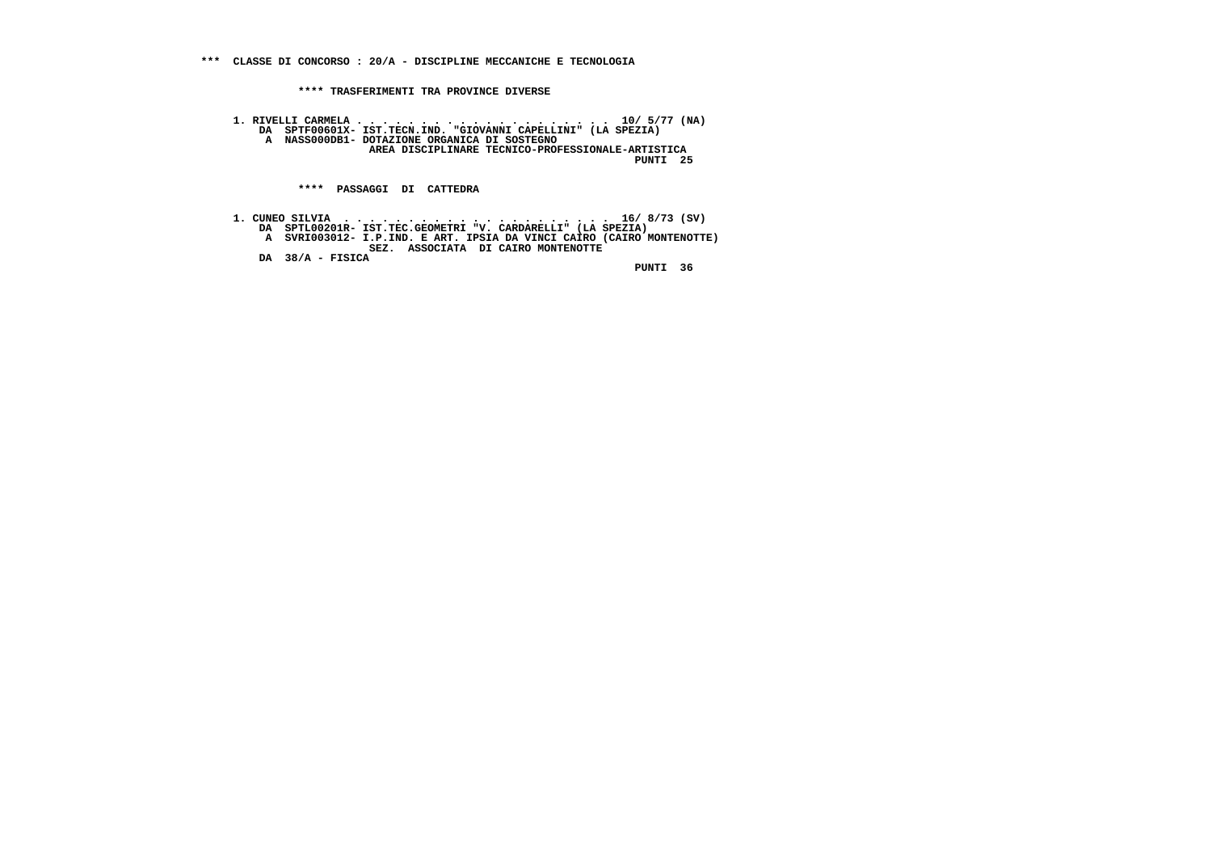**1. RIVELLI CARMELA . . . . . . . . . . . . . . . . . . . . 10/ 5/77 (NA) DA SPTF00601X- IST.TECN.IND. "GIOVANNI CAPELLINI" (LA SPEZIA) A NASS000DB1- DOTAZIONE ORGANICA DI SOSTEGNO AREA DISCIPLINARE TECNICO-PROFESSIONALE-ARTISTICA PUNTI 25**

 **\*\*\*\* PASSAGGI DI CATTEDRA**

 **1. CUNEO SILVIA . . . . . . . . . . . . . . . . . . . . . 16/ 8/73 (SV) DA SPTL00201R- IST.TEC.GEOMETRI "V. CARDARELLI" (LA SPEZIA) A SVRI003012- I.P.IND. E ART. IPSIA DA VINCI CAIRO (CAIRO MONTENOTTE) SEZ. ASSOCIATA DI CAIRO MONTENOTTE DA 38/A - FISICA**

 **PUNTI 36**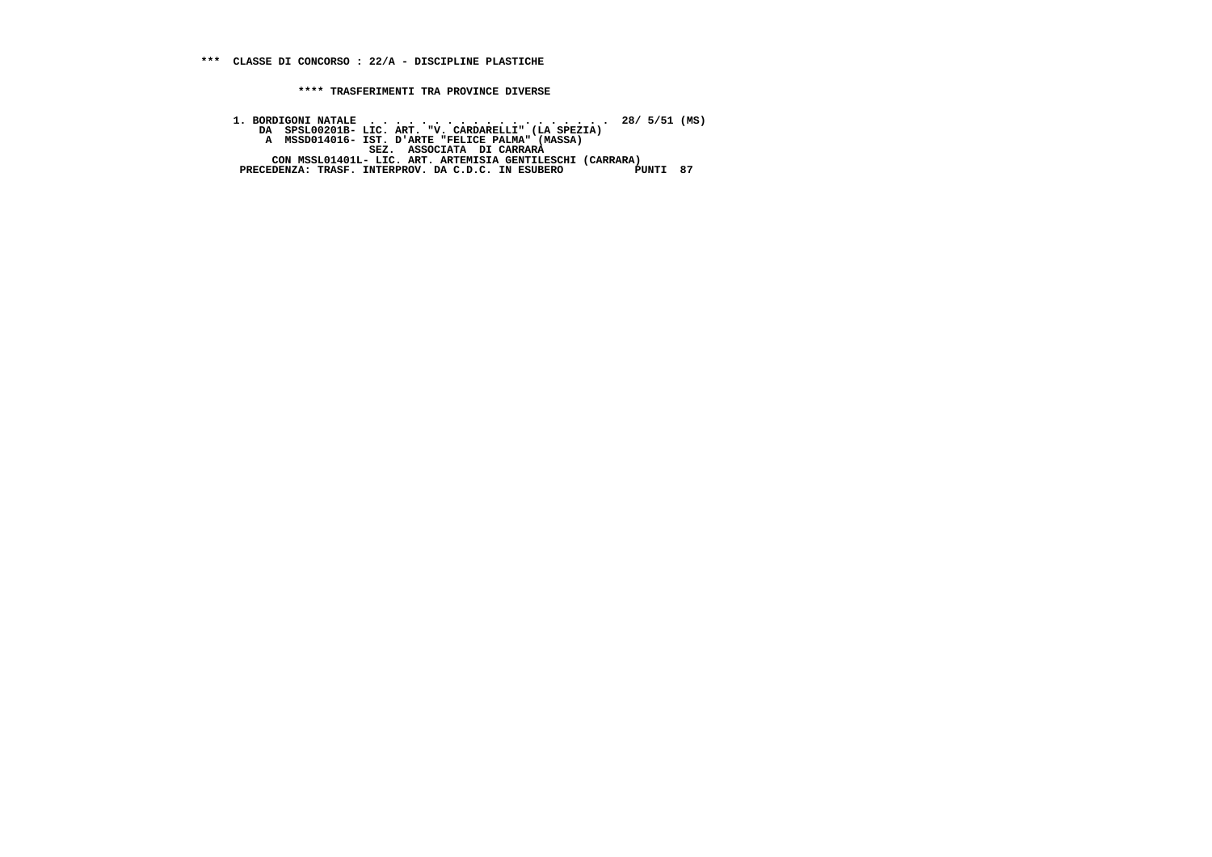1. BORDIGONI NATALE<br>
DA SPELO 2011 - LIC. ART. "V. CARDARELLI" (LA SPEZIA)<br>
A MSSD014016- IST. D'ARTE "FELICE PALMA" (MASSA)<br>
SEZ. ASSOCIATA DI CARRARA<br>
SEZ. ASSOCIATA DI CARRARA<br>
CON MSSL01401L- LIC. ART. ARTEMISIA GENTIL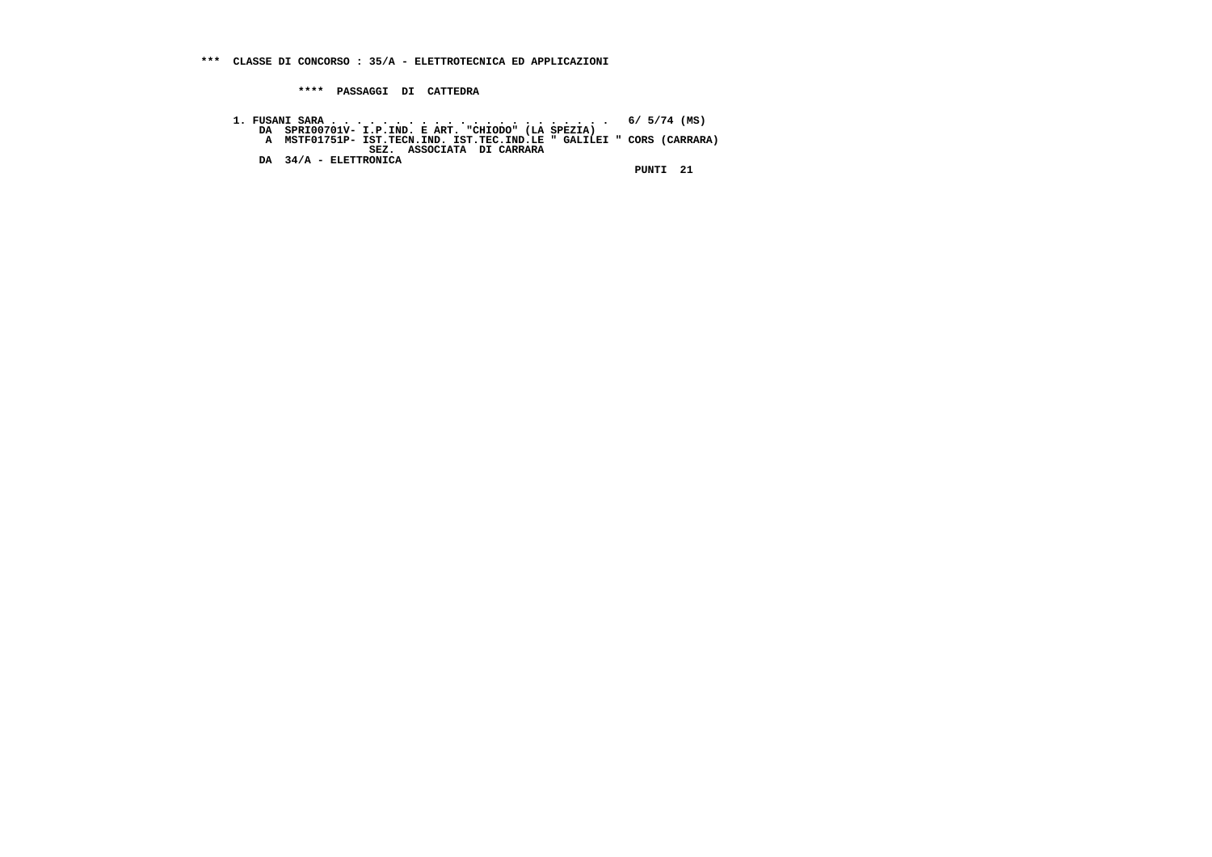**\*\*\*\* PASSAGGI DI CATTEDRA**

 **1. FUSANI SARA . . . . . . . . . . . . . . . . . . . . . . 6/ 5/74 (MS) DA SPRI00701V- I.P.IND. E ART. "CHIODO" (LA SPEZIA) A MSTF01751P- IST.TECN.IND. IST.TEC.IND.LE " GALILEI " CORS (CARRARA) SEZ. ASSOCIATA DI CARRARA DA 34/A - ELETTRONICA**

 **PUNTI 21**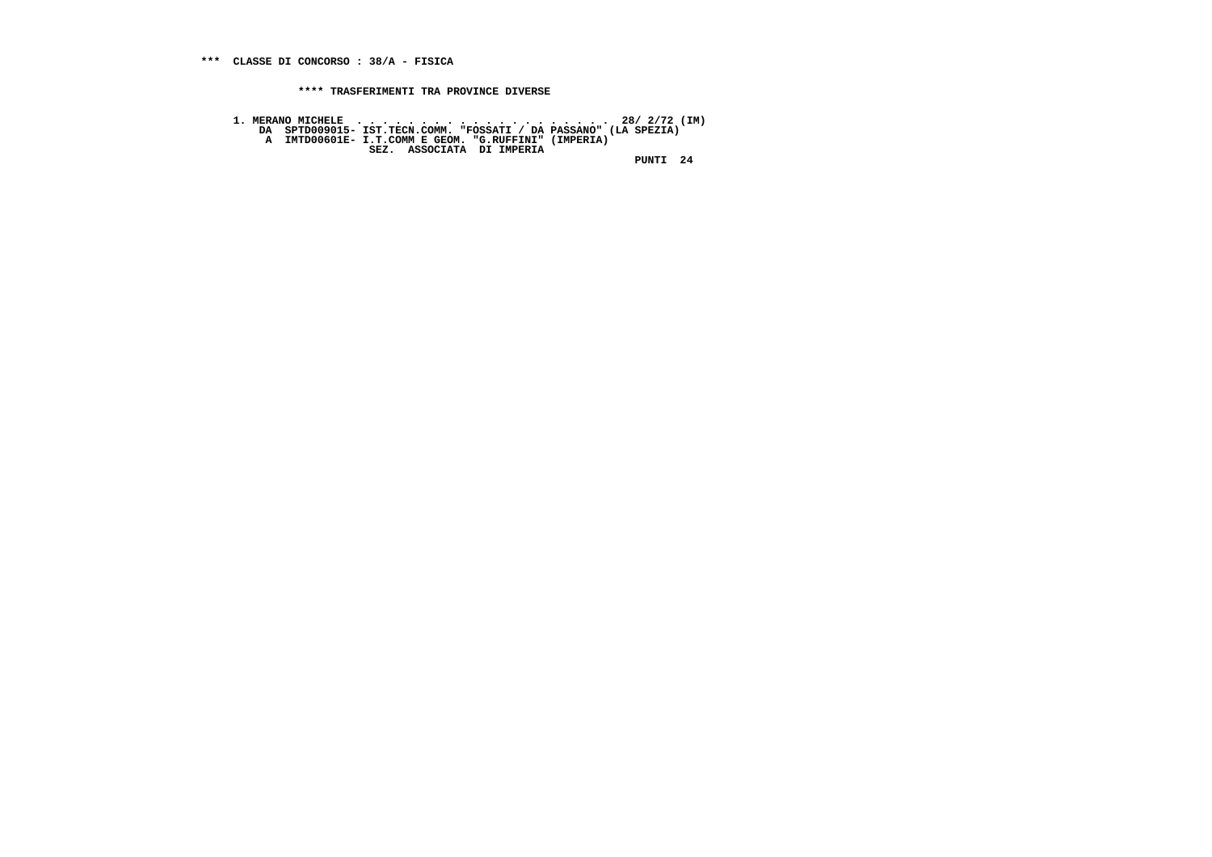**1. MERANO MICHELE . . . . . . . . . . . . . . . . . . . . 28/ 2/72 (IM) DA SPTD009015- IST.TECN.COMM. "FOSSATI / DA PASSANO" (LA SPEZIA) A IMTD00601E- I.T.COMM E GEOM. "G.RUFFINI" (IMPERIA) SEZ. ASSOCIATA DI IMPERIA PUNTI 24**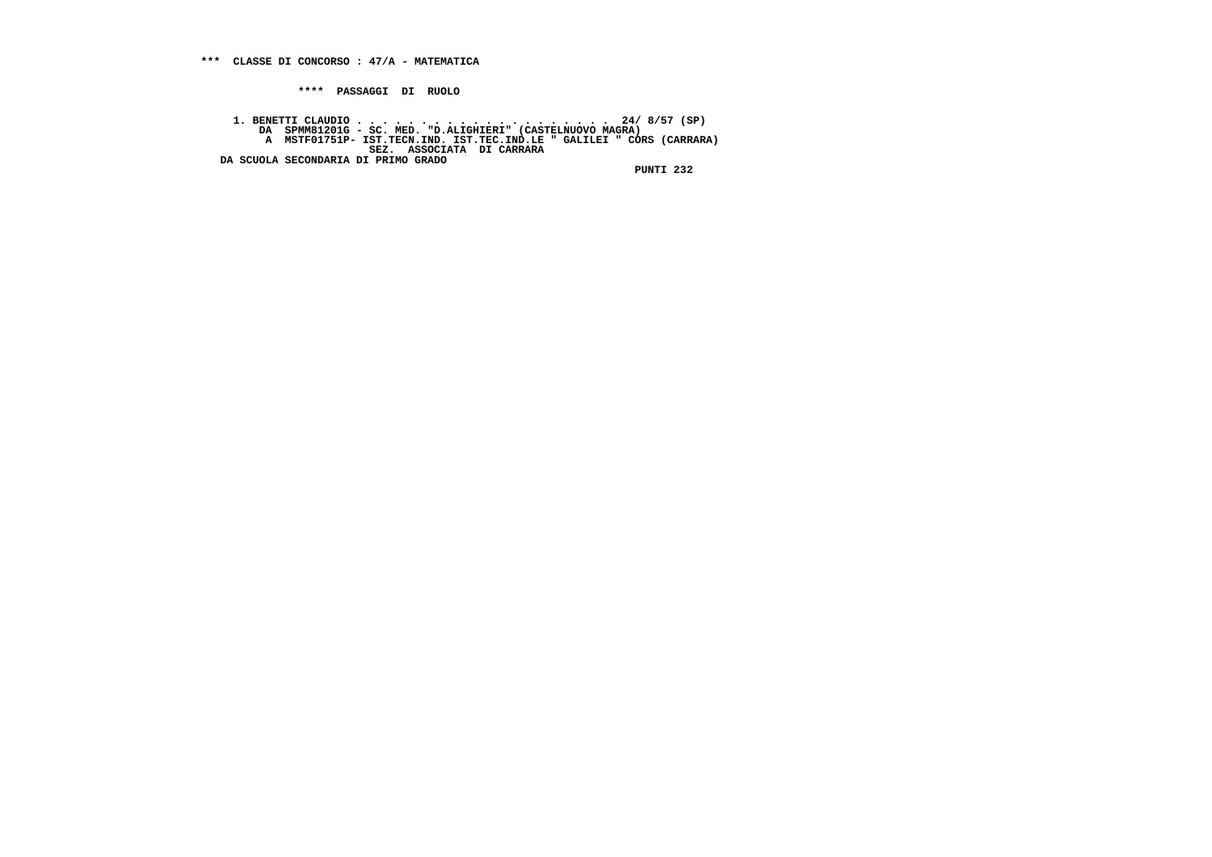**\*\*\*\* PASSAGGI DI RUOLO**

 **1. BENETTI CLAUDIO . . . . . . . . . . . . . . . . . . . . 24/ 8/57 (SP) DA SPMM81201G - SC. MED. "D.ALIGHIERI" (CASTELNUOVO MAGRA) A MSTF01751P- IST.TECN.IND. IST.TEC.IND.LE " GALILEI " CORS (CARRARA) SEZ. ASSOCIATA DI CARRARA DA SCUOLA SECONDARIA DI PRIMO GRADO**

 **PUNTI 232**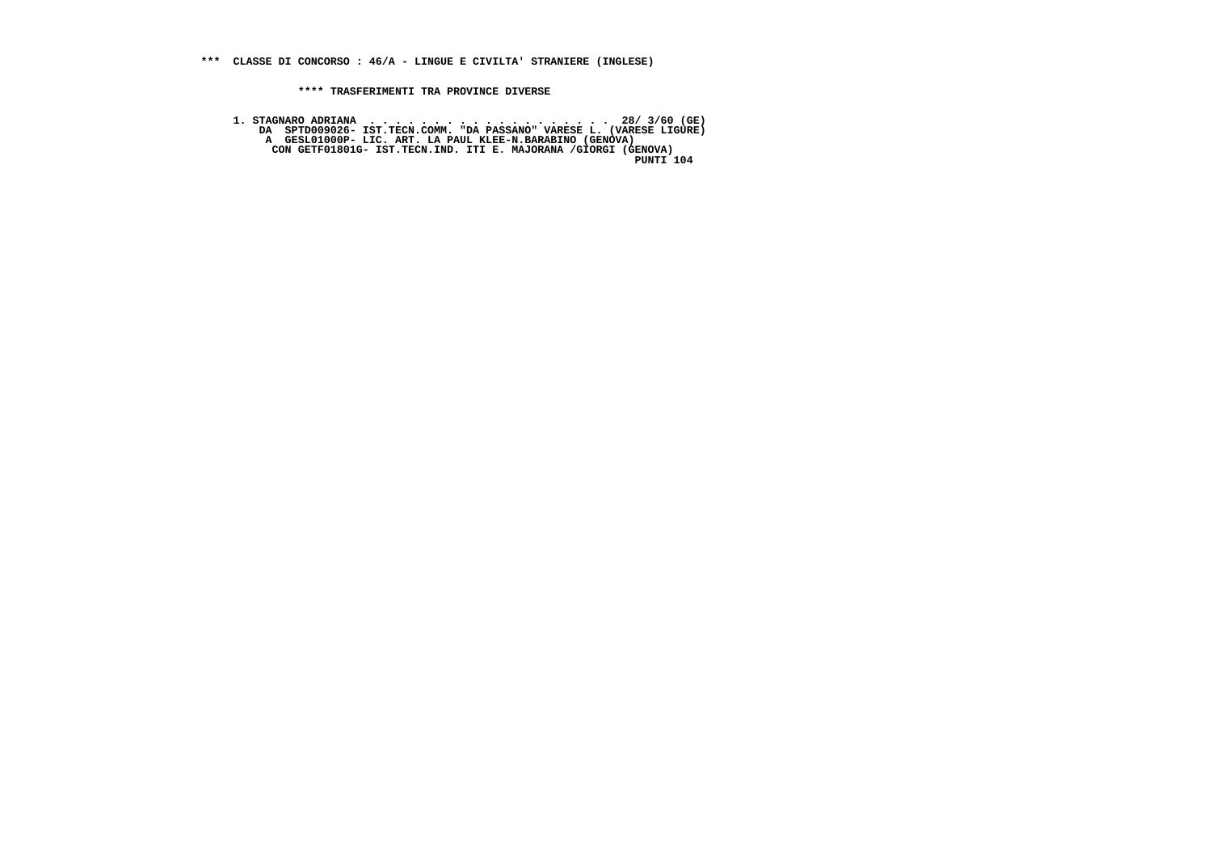**1. STAGNARO ADRIANA . . . . . . . . . . . . . . . . . . . 28/ 3/60 (GE) DA SPTD009026- IST.TECN.COMM. "DA PASSANO" VARESE L. (VARESE LIGURE) A GESL01000P- LIC. ART. LA PAUL KLEE-N.BARABINO (GENOVA) CON GETF01801G- IST.TECN.IND. ITI E. MAJORANA /GIORGI (GENOVA) PUNTI 104**PUNTI 104